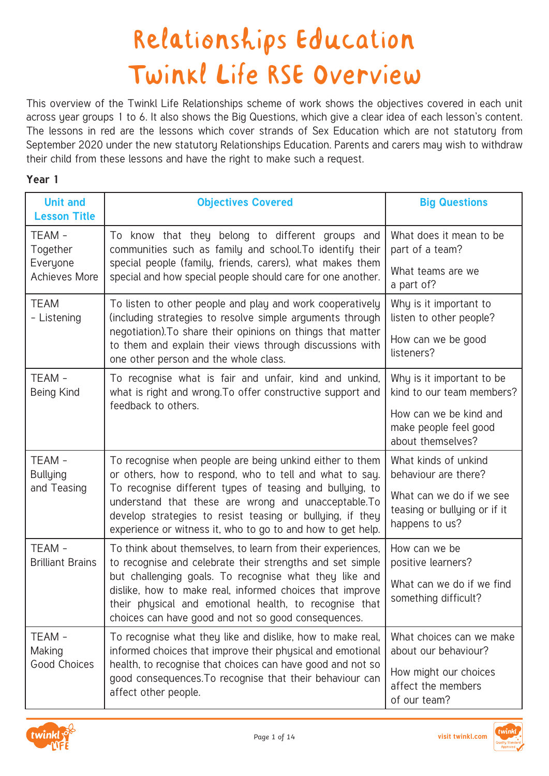## Relationships Education Twinkl Life RSE Overview

This overview of the Twinkl Life Relationships scheme of work shows the objectives covered in each unit across year groups 1 to 6. It also shows the Big Questions, which give a clear idea of each lesson's content. The lessons in red are the lessons which cover strands of Sex Education which are not statutory from September 2020 under the new statutory Relationships Education. Parents and carers may wish to withdraw their child from these lessons and have the right to make such a request.

## **Year 1**

| <b>Unit and</b><br><b>Lesson Title</b> | <b>Objectives Covered</b>                                                                                                                                                                                                                    | <b>Big Questions</b>                                                       |
|----------------------------------------|----------------------------------------------------------------------------------------------------------------------------------------------------------------------------------------------------------------------------------------------|----------------------------------------------------------------------------|
| TEAM -                                 | To know that they belong to different groups and                                                                                                                                                                                             | What does it mean to be                                                    |
| Together                               | communities such as family and school. To identify their                                                                                                                                                                                     | part of a team?                                                            |
| Everyone                               | special people (family, friends, carers), what makes them                                                                                                                                                                                    | What teams are we                                                          |
| <b>Achieves More</b>                   | special and how special people should care for one another.                                                                                                                                                                                  | a part of?                                                                 |
| <b>TEAM</b>                            | To listen to other people and play and work cooperatively                                                                                                                                                                                    | Why is it important to                                                     |
| - Listening                            | (including strategies to resolve simple arguments through                                                                                                                                                                                    | listen to other people?                                                    |
|                                        | negotiation). To share their opinions on things that matter<br>to them and explain their views through discussions with<br>one other person and the whole class.                                                                             | How can we be good<br>listeners?                                           |
| TEAM-                                  | To recognise what is fair and unfair, kind and unkind,                                                                                                                                                                                       | Why is it important to be                                                  |
| Being Kind                             | what is right and wrong. To offer constructive support and                                                                                                                                                                                   | kind to our team members?                                                  |
|                                        | feedback to others.                                                                                                                                                                                                                          | How can we be kind and<br>make people feel good<br>about themselves?       |
| TEAM-                                  | To recognise when people are being unkind either to them                                                                                                                                                                                     | What kinds of unkind                                                       |
| <b>Bullying</b>                        | or others, how to respond, who to tell and what to say.                                                                                                                                                                                      | behaviour are there?                                                       |
| and Teasing                            | To recognise different types of teasing and bullying, to<br>understand that these are wrong and unacceptable. To<br>develop strategies to resist teasing or bullying, if they<br>experience or witness it, who to go to and how to get help. | What can we do if we see<br>teasing or bullying or if it<br>happens to us? |
| TEAM-                                  | To think about themselves, to learn from their experiences,                                                                                                                                                                                  | How can we be                                                              |
| <b>Brilliant Brains</b>                | to recognise and celebrate their strengths and set simple                                                                                                                                                                                    | positive learners?                                                         |
|                                        | but challenging goals. To recognise what they like and<br>dislike, how to make real, informed choices that improve<br>their physical and emotional health, to recognise that<br>choices can have good and not so good consequences.          | What can we do if we find<br>something difficult?                          |
| TEAM -                                 | To recognise what they like and dislike, how to make real,                                                                                                                                                                                   | What choices can we make                                                   |
| Making                                 | informed choices that improve their physical and emotional                                                                                                                                                                                   | about our behaviour?                                                       |
| Good Choices                           | health, to recognise that choices can have good and not so<br>good consequences. To recognise that their behaviour can<br>affect other people.                                                                                               | How might our choices<br>affect the members<br>of our team?                |



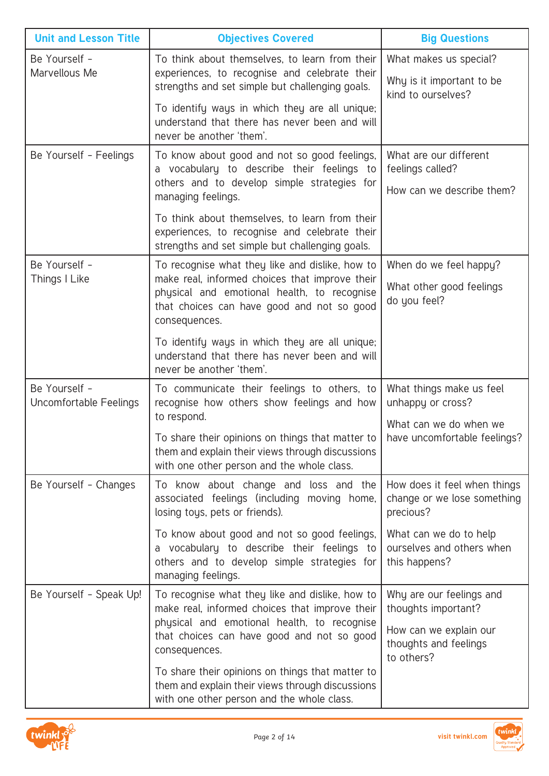| <b>Unit and Lesson Title</b>            | <b>Objectives Covered</b>                                                                                                                                                                                       | <b>Big Questions</b>                                                      |
|-----------------------------------------|-----------------------------------------------------------------------------------------------------------------------------------------------------------------------------------------------------------------|---------------------------------------------------------------------------|
| Be Yourself -<br>Marvellous Me          | To think about themselves, to learn from their<br>experiences, to recognise and celebrate their<br>strengths and set simple but challenging goals.                                                              | What makes us special?<br>Why is it important to be<br>kind to ourselves? |
|                                         | To identify ways in which they are all unique;<br>understand that there has never been and will<br>never be another 'them'.                                                                                     |                                                                           |
| Be Yourself - Feelings                  | To know about good and not so good feelings,<br>a vocabulary to describe their feelings to<br>others and to develop simple strategies for<br>managing feelings.                                                 | What are our different<br>feelings called?<br>How can we describe them?   |
|                                         | To think about themselves, to learn from their<br>experiences, to recognise and celebrate their<br>strengths and set simple but challenging goals.                                                              |                                                                           |
| Be Yourself -<br>Things I Like          | To recognise what they like and dislike, how to<br>make real, informed choices that improve their<br>physical and emotional health, to recognise<br>that choices can have good and not so good<br>consequences. | When do we feel happy?<br>What other good feelings<br>do you feel?        |
|                                         | To identify ways in which they are all unique;<br>understand that there has never been and will<br>never be another 'them'.                                                                                     |                                                                           |
| Be Yourself -<br>Uncomfortable Feelings | To communicate their feelings to others, to<br>recognise how others show feelings and how<br>to respond.                                                                                                        | What things make us feel<br>unhappy or cross?<br>What can we do when we   |
|                                         | To share their opinions on things that matter to<br>them and explain their views through discussions<br>with one other person and the whole class.                                                              | have uncomfortable feelings?                                              |
| Be Yourself - Changes                   | To know about change and loss and the<br>associated feelings (including moving home,<br>losing toys, pets or friends).                                                                                          | How does it feel when things<br>change or we lose something<br>precious?  |
|                                         | To know about good and not so good feelings,<br>a vocabulary to describe their feelings to<br>others and to develop simple strategies for<br>managing feelings.                                                 | What can we do to help<br>ourselves and others when<br>this happens?      |
| Be Yourself - Speak Up!                 | To recognise what they like and dislike, how to<br>make real, informed choices that improve their<br>physical and emotional health, to recognise                                                                | Why are our feelings and<br>thoughts important?                           |
|                                         | that choices can have good and not so good<br>consequences.                                                                                                                                                     | How can we explain our<br>thoughts and feelings<br>to others?             |
|                                         | To share their opinions on things that matter to<br>them and explain their views through discussions<br>with one other person and the whole class.                                                              |                                                                           |

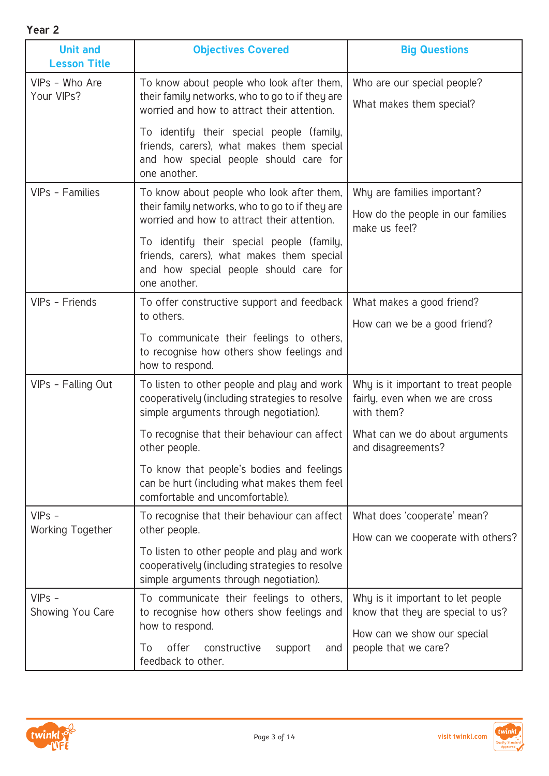| ۰.<br>w<br>× |  |
|--------------|--|
|--------------|--|

| I cal L                                |                                                                                                                                                  |                                                                                     |
|----------------------------------------|--------------------------------------------------------------------------------------------------------------------------------------------------|-------------------------------------------------------------------------------------|
| <b>Unit and</b><br><b>Lesson Title</b> | <b>Objectives Covered</b>                                                                                                                        | <b>Big Questions</b>                                                                |
| VIPs - Who Are<br>Your VIPs?           | To know about people who look after them,<br>their family networks, who to go to if they are<br>worried and how to attract their attention.      | Who are our special people?<br>What makes them special?                             |
|                                        | To identify their special people (family,<br>friends, carers), what makes them special<br>and how special people should care for<br>one another. |                                                                                     |
| VIPs - Families                        | To know about people who look after them,<br>their family networks, who to go to if they are<br>worried and how to attract their attention.      | Why are families important?<br>How do the people in our families<br>make us feel?   |
|                                        | To identify their special people (family,<br>friends, carers), what makes them special<br>and how special people should care for<br>one another. |                                                                                     |
| VIPs - Friends                         | To offer constructive support and feedback<br>to others.                                                                                         | What makes a good friend?                                                           |
|                                        | To communicate their feelings to others,<br>to recognise how others show feelings and<br>how to respond.                                         | How can we be a good friend?                                                        |
| VIPs - Falling Out                     | To listen to other people and play and work<br>cooperatively (including strategies to resolve<br>simple arguments through negotiation).          | Why is it important to treat people<br>fairly, even when we are cross<br>with them? |
|                                        | To recognise that their behaviour can affect<br>other people.                                                                                    | What can we do about arguments<br>and disagreements?                                |
|                                        | To know that people's bodies and feelings<br>can be hurt (including what makes them feel<br>comfortable and uncomfortable).                      |                                                                                     |
| $VIPS -$<br><b>Working Together</b>    | To recognise that their behaviour can affect<br>other people.                                                                                    | What does 'cooperate' mean?                                                         |
|                                        | To listen to other people and play and work<br>cooperatively (including strategies to resolve<br>simple arguments through negotiation).          | How can we cooperate with others?                                                   |
| $VIPS -$<br>Showing You Care           | To communicate their feelings to others,<br>to recognise how others show feelings and<br>how to respond.                                         | Why is it important to let people<br>know that they are special to us?              |
|                                        | offer<br>To<br>constructive<br>support<br>and<br>feedback to other.                                                                              | How can we show our special<br>people that we care?                                 |



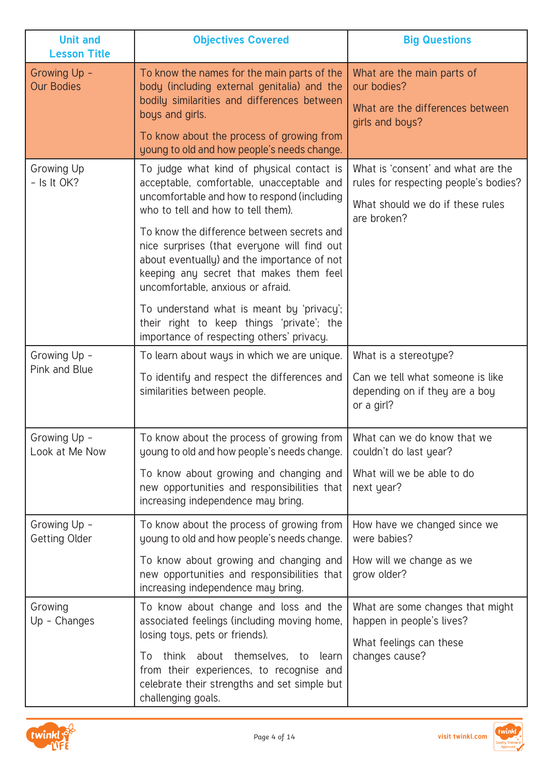| <b>Unit and</b><br><b>Lesson Title</b> | <b>Objectives Covered</b>                                                                                                                                                                                                                                                                                                                                          | <b>Big Questions</b>                                                                                                           |
|----------------------------------------|--------------------------------------------------------------------------------------------------------------------------------------------------------------------------------------------------------------------------------------------------------------------------------------------------------------------------------------------------------------------|--------------------------------------------------------------------------------------------------------------------------------|
| Growing Up -<br><b>Our Bodies</b>      | To know the names for the main parts of the<br>body (including external genitalia) and the<br>bodily similarities and differences between<br>boys and girls.<br>To know about the process of growing from<br>young to old and how people's needs change.                                                                                                           | What are the main parts of<br>our bodies?<br>What are the differences between<br>girls and boys?                               |
| Growing Up<br>$-$ Is It OK?            | To judge what kind of physical contact is<br>acceptable, comfortable, unacceptable and<br>uncomfortable and how to respond (including<br>who to tell and how to tell them).<br>To know the difference between secrets and<br>nice surprises (that everyone will find out<br>about eventually) and the importance of not<br>keeping any secret that makes them feel | What is 'consent' and what are the<br>rules for respecting people's bodies?<br>What should we do if these rules<br>are broken? |
|                                        | uncomfortable, anxious or afraid.<br>To understand what is meant by 'privacy';<br>their right to keep things 'private'; the<br>importance of respecting others' privacy.                                                                                                                                                                                           |                                                                                                                                |
| Growing Up -<br>Pink and Blue          | To learn about ways in which we are unique.<br>To identify and respect the differences and<br>similarities between people.                                                                                                                                                                                                                                         | What is a stereotype?<br>Can we tell what someone is like<br>depending on if they are a boy<br>or a girl?                      |
| Growing Up -<br>Look at Me Now         | To know about the process of growing from   What can we do know that we<br>young to old and how people's needs change.<br>To know about growing and changing and<br>new opportunities and responsibilities that<br>increasing independence may bring.                                                                                                              | couldn't do last year?<br>What will we be able to do<br>next year?                                                             |
| Growing Up -<br>Getting Older          | To know about the process of growing from<br>young to old and how people's needs change.<br>To know about growing and changing and<br>new opportunities and responsibilities that<br>increasing independence may bring.                                                                                                                                            | How have we changed since we<br>were babies?<br>How will we change as we<br>grow older?                                        |
| Growing<br>$Up - Changes$              | To know about change and loss and the<br>associated feelings (including moving home,<br>losing toys, pets or friends).<br>think about themselves, to<br>learn<br>To<br>from their experiences, to recognise and<br>celebrate their strengths and set simple but<br>challenging goals.                                                                              | What are some changes that might<br>happen in people's lives?<br>What feelings can these<br>changes cause?                     |



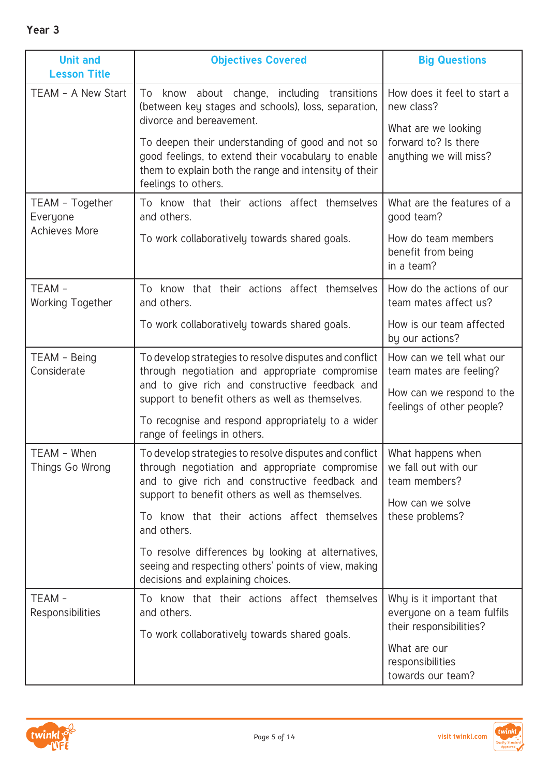| <b>Unit and</b><br><b>Lesson Title</b>              | <b>Objectives Covered</b>                                                                                                                                                                                                                                                                                                                                                                                                        | <b>Big Questions</b>                                                                                                                       |
|-----------------------------------------------------|----------------------------------------------------------------------------------------------------------------------------------------------------------------------------------------------------------------------------------------------------------------------------------------------------------------------------------------------------------------------------------------------------------------------------------|--------------------------------------------------------------------------------------------------------------------------------------------|
| TEAM - A New Start                                  | know about change,<br>including<br>transitions<br>To<br>(between key stages and schools), loss, separation,<br>divorce and bereavement.<br>To deepen their understanding of good and not so<br>good feelings, to extend their vocabulary to enable<br>them to explain both the range and intensity of their<br>feelings to others.                                                                                               | How does it feel to start a<br>new class?<br>What are we looking<br>forward to? Is there<br>anything we will miss?                         |
| TEAM - Together<br>Everyone<br><b>Achieves More</b> | To know that their actions affect themselves<br>and others.<br>To work collaboratively towards shared goals.                                                                                                                                                                                                                                                                                                                     | What are the features of a<br>good team?<br>How do team members<br>benefit from being<br>in a team?                                        |
| TEAM -<br><b>Working Together</b>                   | To know that their actions affect themselves<br>and others.<br>To work collaboratively towards shared goals.                                                                                                                                                                                                                                                                                                                     | How do the actions of our<br>team mates affect us?<br>How is our team affected<br>by our actions?                                          |
| TEAM - Being<br>Considerate                         | To develop strategies to resolve disputes and conflict<br>through negotiation and appropriate compromise<br>and to give rich and constructive feedback and<br>support to benefit others as well as themselves.<br>To recognise and respond appropriately to a wider<br>range of feelings in others.                                                                                                                              | How can we tell what our<br>team mates are feeling?<br>How can we respond to the<br>feelings of other people?                              |
| TEAM - When<br>Things Go Wrong                      | To develop strategies to resolve disputes and conflict<br>through negotiation and appropriate compromise<br>and to give rich and constructive feedback and<br>support to benefit others as well as themselves.<br>To know that their actions affect themselves<br>and others.<br>To resolve differences by looking at alternatives,<br>seeing and respecting others' points of view, making<br>decisions and explaining choices. | What happens when<br>we fall out with our<br>team members?<br>How can we solve<br>these problems?                                          |
| TEAM-<br>Responsibilities                           | To know that their actions affect themselves<br>and others.<br>To work collaboratively towards shared goals.                                                                                                                                                                                                                                                                                                                     | Why is it important that<br>everyone on a team fulfils<br>their responsibilities?<br>What are our<br>responsibilities<br>towards our team? |

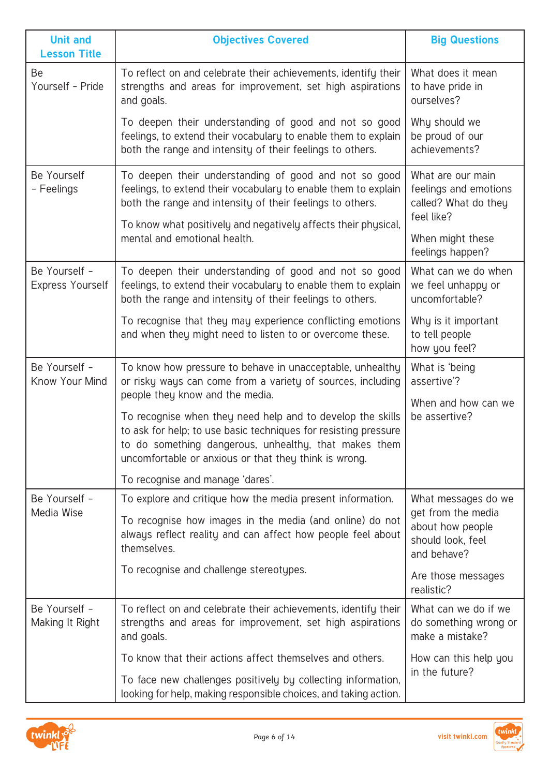| <b>Unit and</b><br><b>Lesson Title</b>   | <b>Objectives Covered</b>                                                                                                                                                                                                                       | <b>Big Questions</b>                                                                              |
|------------------------------------------|-------------------------------------------------------------------------------------------------------------------------------------------------------------------------------------------------------------------------------------------------|---------------------------------------------------------------------------------------------------|
| Be<br>Yourself - Pride                   | To reflect on and celebrate their achievements, identify their<br>strengths and areas for improvement, set high aspirations<br>and goals.                                                                                                       | What does it mean<br>to have pride in<br>ourselves?                                               |
|                                          | To deepen their understanding of good and not so good<br>feelings, to extend their vocabulary to enable them to explain<br>both the range and intensity of their feelings to others.                                                            | Why should we<br>be proud of our<br>achievements?                                                 |
| Be Yourself<br>- Feelings                | To deepen their understanding of good and not so good<br>feelings, to extend their vocabulary to enable them to explain<br>both the range and intensity of their feelings to others.                                                            | What are our main<br>feelings and emotions<br>called? What do they<br>feel like?                  |
|                                          | To know what positively and negatively affects their physical,<br>mental and emotional health.                                                                                                                                                  | When might these<br>feelings happen?                                                              |
| Be Yourself -<br><b>Express Yourself</b> | To deepen their understanding of good and not so good<br>feelings, to extend their vocabulary to enable them to explain<br>both the range and intensity of their feelings to others.                                                            | What can we do when<br>we feel unhappy or<br>uncomfortable?                                       |
|                                          | To recognise that they may experience conflicting emotions<br>and when they might need to listen to or overcome these.                                                                                                                          | Why is it important<br>to tell people<br>how you feel?                                            |
| Be Yourself -<br>Know Your Mind          | To know how pressure to behave in unacceptable, unhealthy<br>or risky ways can come from a variety of sources, including<br>people they know and the media.                                                                                     | What is 'being<br>assertive'?                                                                     |
|                                          | To recognise when they need help and to develop the skills<br>to ask for help; to use basic techniques for resisting pressure<br>to do something dangerous, unhealthy, that makes them<br>uncomfortable or anxious or that they think is wrong. | When and how can we<br>be assertive?                                                              |
|                                          | To recognise and manage 'dares'.                                                                                                                                                                                                                |                                                                                                   |
| Be Yourself -<br>Media Wise              | To explore and critique how the media present information.<br>To recognise how images in the media (and online) do not<br>always reflect reality and can affect how people feel about<br>themselves.                                            | What messages do we<br>get from the media<br>about how people<br>should look, feel<br>and behave? |
|                                          | To recognise and challenge stereotypes.                                                                                                                                                                                                         | Are those messages<br>realistic?                                                                  |
| Be Yourself -<br>Making It Right         | To reflect on and celebrate their achievements, identify their<br>strengths and areas for improvement, set high aspirations<br>and goals.                                                                                                       | What can we do if we<br>do something wrong or<br>make a mistake?                                  |
|                                          | To know that their actions affect themselves and others.                                                                                                                                                                                        | How can this help you                                                                             |
|                                          | To face new challenges positively by collecting information,<br>looking for help, making responsible choices, and taking action.                                                                                                                | in the future?                                                                                    |



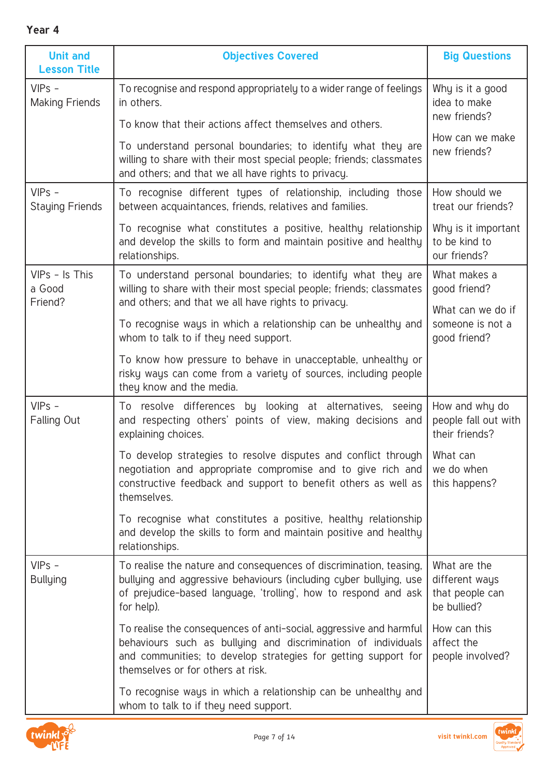| . .<br>w<br>۰.<br>× |  |
|---------------------|--|
|---------------------|--|

| <b>Unit and</b><br><b>Lesson Title</b> | <b>Objectives Covered</b>                                                                                                                                                                                                                  | <b>Big Questions</b>                                             |
|----------------------------------------|--------------------------------------------------------------------------------------------------------------------------------------------------------------------------------------------------------------------------------------------|------------------------------------------------------------------|
| $VIPS -$<br><b>Making Friends</b>      | To recognise and respond appropriately to a wider range of feelings<br>in others.                                                                                                                                                          | Why is it a good<br>idea to make<br>new friends?                 |
|                                        | To know that their actions affect themselves and others.                                                                                                                                                                                   | How can we make                                                  |
|                                        | To understand personal boundaries; to identify what they are<br>willing to share with their most special people; friends; classmates<br>and others; and that we all have rights to privacy.                                                | new friends?                                                     |
| $VIPS -$<br><b>Staying Friends</b>     | To recognise different types of relationship, including those<br>between acquaintances, friends, relatives and families.                                                                                                                   | How should we<br>treat our friends?                              |
|                                        | To recognise what constitutes a positive, healthy relationship<br>and develop the skills to form and maintain positive and healthy<br>relationships.                                                                                       | Why is it important<br>to be kind to<br>our friends?             |
| VIPs - Is This<br>a Good<br>Friend?    | To understand personal boundaries; to identify what they are<br>willing to share with their most special people; friends; classmates<br>and others; and that we all have rights to privacy.                                                | What makes a<br>good friend?                                     |
|                                        | To recognise ways in which a relationship can be unhealthy and<br>whom to talk to if they need support.                                                                                                                                    | What can we do if<br>someone is not a<br>good friend?            |
|                                        | To know how pressure to behave in unacceptable, unhealthy or<br>risky ways can come from a variety of sources, including people<br>they know and the media.                                                                                |                                                                  |
| $VIPS -$<br>Falling Out                | To resolve differences by looking at alternatives, seeing<br>and respecting others' points of view, making decisions and<br>explaining choices.                                                                                            | How and why do<br>people fall out with<br>their friends?         |
|                                        | To develop strategies to resolve disputes and conflict through<br>negotiation and appropriate compromise and to give rich and<br>constructive feedback and support to benefit others as well as<br>themselves.                             | What can<br>we do when<br>this happens?                          |
|                                        | To recognise what constitutes a positive, healthy relationship<br>and develop the skills to form and maintain positive and healthy<br>relationships.                                                                                       |                                                                  |
| $VIPS -$<br><b>Bullying</b>            | To realise the nature and consequences of discrimination, teasing,<br>bullying and aggressive behaviours (including cyber bullying, use<br>of prejudice-based language, 'trolling', how to respond and ask<br>for help).                   | What are the<br>different ways<br>that people can<br>be bullied? |
|                                        | To realise the consequences of anti-social, aggressive and harmful<br>behaviours such as bullying and discrimination of individuals<br>and communities; to develop strategies for getting support for<br>themselves or for others at risk. | How can this<br>affect the<br>people involved?                   |
|                                        | To recognise ways in which a relationship can be unhealthy and<br>whom to talk to if they need support.                                                                                                                                    |                                                                  |

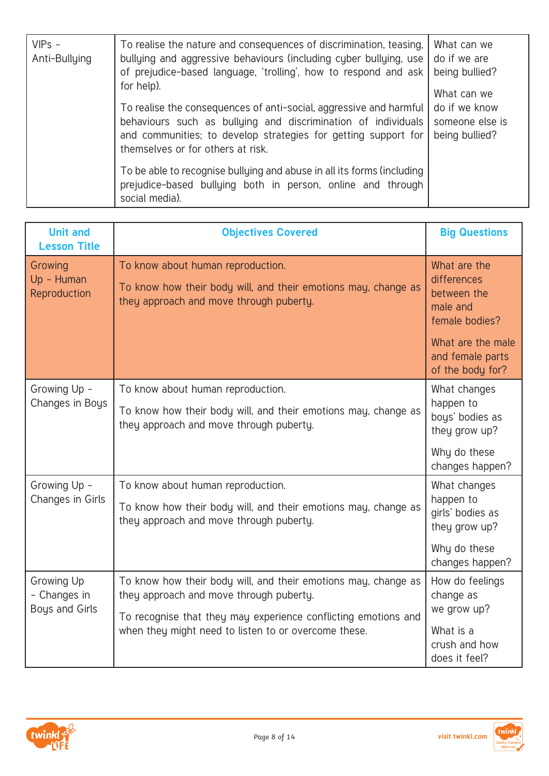| $VIPS -$<br>Anti-Bullying | To realise the nature and consequences of discrimination, teasing,<br>bullying and aggressive behaviours (including cyber bullying, use<br>of prejudice-based language, 'trolling', how to respond and ask<br>for help).<br>To realise the consequences of anti-social, aggressive and harmful<br>behaviours such as bullying and discrimination of individuals<br>and communities; to develop strategies for getting support for<br>themselves or for others at risk. | What can we<br>do if we are<br>being bullied?<br>What can we<br>do if we know<br>someone else is<br>being bullied? |
|---------------------------|------------------------------------------------------------------------------------------------------------------------------------------------------------------------------------------------------------------------------------------------------------------------------------------------------------------------------------------------------------------------------------------------------------------------------------------------------------------------|--------------------------------------------------------------------------------------------------------------------|
|                           | To be able to recognise bullying and abuse in all its forms (including<br>prejudice-based bullying both in person, online and through<br>social media).                                                                                                                                                                                                                                                                                                                |                                                                                                                    |

| <b>Unit and</b><br><b>Lesson Title</b>              | <b>Objectives Covered</b>                                                                                                                                                   | <b>Big Questions</b>                                                     |
|-----------------------------------------------------|-----------------------------------------------------------------------------------------------------------------------------------------------------------------------------|--------------------------------------------------------------------------|
| Growing<br>Up - Human<br>Reproduction               | To know about human reproduction.<br>To know how their body will, and their emotions may, change as<br>they approach and move through puberty.                              | What are the<br>differences<br>between the<br>male and<br>female bodies? |
|                                                     |                                                                                                                                                                             | What are the male<br>and female parts<br>of the body for?                |
| Growing Up -<br>Changes in Boys                     | To know about human reproduction.<br>To know how their body will, and their emotions may, change as<br>they approach and move through puberty.                              | What changes<br>happen to<br>boys' bodies as<br>they grow up?            |
|                                                     |                                                                                                                                                                             | Why do these<br>changes happen?                                          |
| Growing Up -<br>Changes in Girls                    | To know about human reproduction.<br>To know how their body will, and their emotions may, change as<br>they approach and move through puberty.                              | What changes<br>happen to<br>girls' bodies as<br>they grow up?           |
|                                                     |                                                                                                                                                                             | Why do these<br>changes happen?                                          |
| Growing Up<br>- Changes in<br><b>Boys and Girls</b> | To know how their body will, and their emotions may, change as<br>they approach and move through puberty.<br>To recognise that they may experience conflicting emotions and | How do feelings<br>change as<br>we grow up?                              |
|                                                     | when they might need to listen to or overcome these.                                                                                                                        | What is a<br>crush and how<br>does it feel?                              |



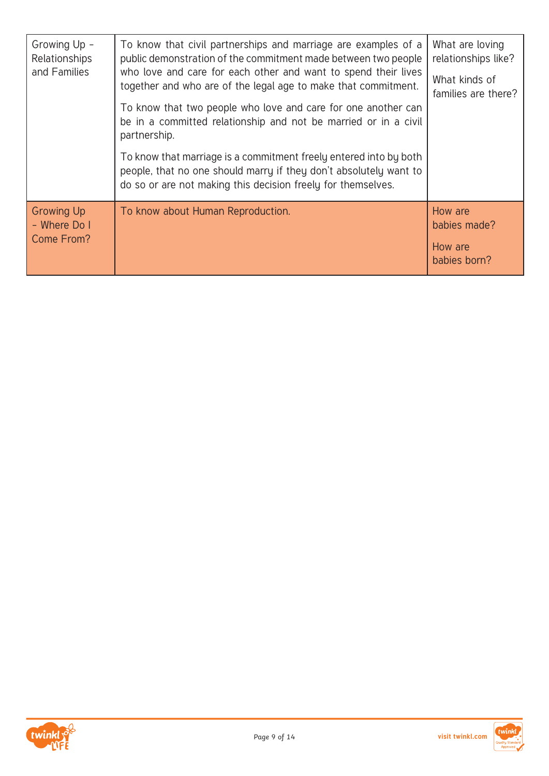| Growing Up -<br>Relationships<br>and Families   | To know that civil partnerships and marriage are examples of a<br>public demonstration of the commitment made between two people<br>who love and care for each other and want to spend their lives<br>together and who are of the legal age to make that commitment.<br>To know that two people who love and care for one another can<br>be in a committed relationship and not be married or in a civil<br>partnership.<br>To know that marriage is a commitment freely entered into by both<br>people, that no one should marry if they don't absolutely want to<br>do so or are not making this decision freely for themselves. | What are loving<br>relationships like?<br>What kinds of<br>families are there? |
|-------------------------------------------------|------------------------------------------------------------------------------------------------------------------------------------------------------------------------------------------------------------------------------------------------------------------------------------------------------------------------------------------------------------------------------------------------------------------------------------------------------------------------------------------------------------------------------------------------------------------------------------------------------------------------------------|--------------------------------------------------------------------------------|
| <b>Growing Up</b><br>- Where Do I<br>Come From? | To know about Human Reproduction.                                                                                                                                                                                                                                                                                                                                                                                                                                                                                                                                                                                                  | How are<br>babies made?<br>How are<br>babies born?                             |



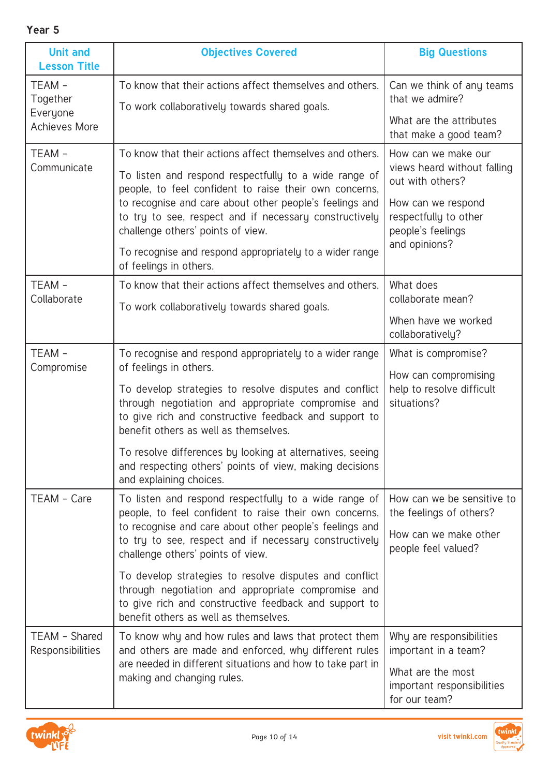| т.<br>w<br>× | ۰.<br>× |
|--------------|---------|
|--------------|---------|

| <b>Unit and</b><br><b>Lesson Title</b>                | <b>Objectives Covered</b>                                                                                                                                                                                                                                                                                                                                                                                                                                                                   | <b>Big Questions</b>                                                                                                                                        |
|-------------------------------------------------------|---------------------------------------------------------------------------------------------------------------------------------------------------------------------------------------------------------------------------------------------------------------------------------------------------------------------------------------------------------------------------------------------------------------------------------------------------------------------------------------------|-------------------------------------------------------------------------------------------------------------------------------------------------------------|
| TEAM-<br>Together<br>Everyone<br><b>Achieves More</b> | To know that their actions affect themselves and others.<br>To work collaboratively towards shared goals.                                                                                                                                                                                                                                                                                                                                                                                   | Can we think of any teams<br>that we admire?<br>What are the attributes<br>that make a good team?                                                           |
| TEAM-<br>Communicate                                  | To know that their actions affect themselves and others.<br>To listen and respond respectfully to a wide range of<br>people, to feel confident to raise their own concerns,<br>to recognise and care about other people's feelings and<br>to try to see, respect and if necessary constructively<br>challenge others' points of view.<br>To recognise and respond appropriately to a wider range<br>of feelings in others.                                                                  | How can we make our<br>views heard without falling<br>out with others?<br>How can we respond<br>respectfully to other<br>people's feelings<br>and opinions? |
| TEAM-<br>Collaborate                                  | To know that their actions affect themselves and others.<br>To work collaboratively towards shared goals.                                                                                                                                                                                                                                                                                                                                                                                   | What does<br>collaborate mean?<br>When have we worked<br>collaboratively?                                                                                   |
| TEAM-<br>Compromise                                   | To recognise and respond appropriately to a wider range<br>of feelings in others.<br>To develop strategies to resolve disputes and conflict<br>through negotiation and appropriate compromise and<br>to give rich and constructive feedback and support to<br>benefit others as well as themselves.<br>To resolve differences by looking at alternatives, seeing<br>and respecting others' points of view, making decisions<br>and explaining choices.                                      | What is compromise?<br>How can compromising<br>help to resolve difficult<br>situations?                                                                     |
| TEAM - Care                                           | To listen and respond respectfully to a wide range of<br>people, to feel confident to raise their own concerns,<br>to recognise and care about other people's feelings and<br>to try to see, respect and if necessary constructively<br>challenge others' points of view.<br>To develop strategies to resolve disputes and conflict<br>through negotiation and appropriate compromise and<br>to give rich and constructive feedback and support to<br>benefit others as well as themselves. | How can we be sensitive to<br>the feelings of others?<br>How can we make other<br>people feel valued?                                                       |
| TEAM - Shared<br><b>Responsibilities</b>              | To know why and how rules and laws that protect them<br>and others are made and enforced, why different rules<br>are needed in different situations and how to take part in<br>making and changing rules.                                                                                                                                                                                                                                                                                   | Why are responsibilities<br>important in a team?<br>What are the most<br>important responsibilities<br>for our team?                                        |

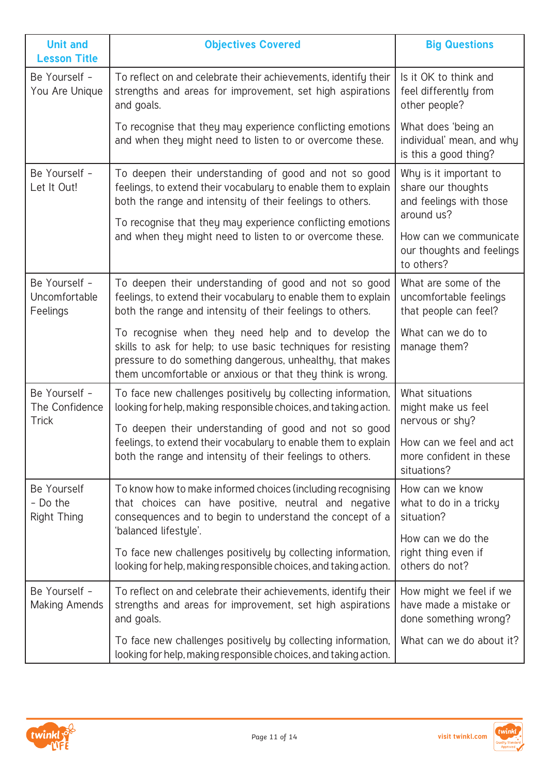| <b>Unit and</b><br><b>Lesson Title</b>          | <b>Objectives Covered</b>                                                                                                                                                                                                                                                                                      | <b>Big Questions</b>                                                                                                                                       |
|-------------------------------------------------|----------------------------------------------------------------------------------------------------------------------------------------------------------------------------------------------------------------------------------------------------------------------------------------------------------------|------------------------------------------------------------------------------------------------------------------------------------------------------------|
| Be Yourself -<br>You Are Unique                 | To reflect on and celebrate their achievements, identify their<br>strengths and areas for improvement, set high aspirations<br>and goals.                                                                                                                                                                      | Is it OK to think and<br>feel differently from<br>other people?                                                                                            |
|                                                 | To recognise that they may experience conflicting emotions<br>and when they might need to listen to or overcome these.                                                                                                                                                                                         | What does 'being an<br>individual' mean, and why<br>is this a good thing?                                                                                  |
| Be Yourself -<br>Let It Out!                    | To deepen their understanding of good and not so good<br>feelings, to extend their vocabulary to enable them to explain<br>both the range and intensity of their feelings to others.<br>To recognise that they may experience conflicting emotions<br>and when they might need to listen to or overcome these. | Why is it important to<br>share our thoughts<br>and feelings with those<br>around us?<br>How can we communicate<br>our thoughts and feelings<br>to others? |
| Be Yourself -<br>Uncomfortable<br>Feelings      | To deepen their understanding of good and not so good<br>feelings, to extend their vocabulary to enable them to explain<br>both the range and intensity of their feelings to others.                                                                                                                           | What are some of the<br>uncomfortable feelings<br>that people can feel?                                                                                    |
|                                                 | To recognise when they need help and to develop the<br>skills to ask for help; to use basic techniques for resisting<br>pressure to do something dangerous, unhealthy, that makes<br>them uncomfortable or anxious or that they think is wrong.                                                                | What can we do to<br>manage them?                                                                                                                          |
| Be Yourself -<br>The Confidence<br><b>Trick</b> | To face new challenges positively by collecting information,<br>looking for help, making responsible choices, and taking action.<br>To deepen their understanding of good and not so good<br>feelings, to extend their vocabulary to enable them to explain                                                    | What situations<br>might make us feel<br>nervous or shy?<br>How can we feel and act                                                                        |
|                                                 | both the range and intensity of their feelings to others.                                                                                                                                                                                                                                                      | more confident in these<br>situations?                                                                                                                     |
| Be Yourself<br>- Do the<br><b>Right Thing</b>   | To know how to make informed choices (including recognising<br>that choices can have positive, neutral and negative<br>consequences and to begin to understand the concept of a<br>'balanced lifestyle'.                                                                                                       | How can we know<br>what to do in a tricky<br>situation?                                                                                                    |
|                                                 | To face new challenges positively by collecting information,<br>looking for help, making responsible choices, and taking action.                                                                                                                                                                               | How can we do the<br>right thing even if<br>others do not?                                                                                                 |
| Be Yourself -<br>Making Amends                  | To reflect on and celebrate their achievements, identify their<br>strengths and areas for improvement, set high aspirations<br>and goals.                                                                                                                                                                      | How might we feel if we<br>have made a mistake or<br>done something wrong?                                                                                 |
|                                                 | To face new challenges positively by collecting information,<br>looking for help, making responsible choices, and taking action.                                                                                                                                                                               | What can we do about it?                                                                                                                                   |

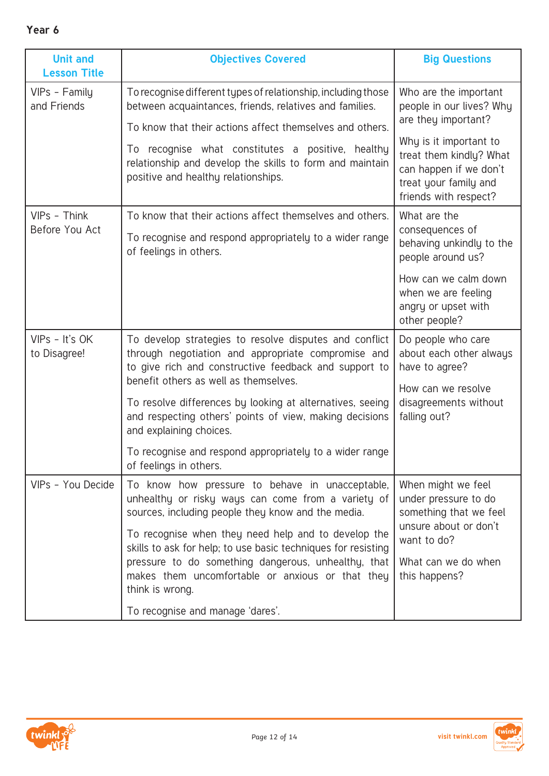| <b>Unit and</b><br><b>Lesson Title</b> | <b>Objectives Covered</b>                                                                                                                                                                                                                                                                                                                                                                                                                              | <b>Big Questions</b>                                                                                                                                                                                      |
|----------------------------------------|--------------------------------------------------------------------------------------------------------------------------------------------------------------------------------------------------------------------------------------------------------------------------------------------------------------------------------------------------------------------------------------------------------------------------------------------------------|-----------------------------------------------------------------------------------------------------------------------------------------------------------------------------------------------------------|
| VIPs - Family<br>and Friends           | To recognise different types of relationship, including those<br>between acquaintances, friends, relatives and families.<br>To know that their actions affect themselves and others.<br>To recognise what constitutes a positive, healthy<br>relationship and develop the skills to form and maintain<br>positive and healthy relationships.                                                                                                           | Who are the important<br>people in our lives? Why<br>are they important?<br>Why is it important to<br>treat them kindly? What<br>can happen if we don't<br>treat your family and<br>friends with respect? |
| VIPs - Think<br>Before You Act         | To know that their actions affect themselves and others.<br>To recognise and respond appropriately to a wider range<br>of feelings in others.                                                                                                                                                                                                                                                                                                          | What are the<br>consequences of<br>behaving unkindly to the<br>people around us?<br>How can we calm down<br>when we are feeling<br>angry or upset with<br>other people?                                   |
| VIPs - It's OK<br>to Disagree!         | To develop strategies to resolve disputes and conflict<br>through negotiation and appropriate compromise and<br>to give rich and constructive feedback and support to<br>benefit others as well as themselves.<br>To resolve differences by looking at alternatives, seeing<br>and respecting others' points of view, making decisions<br>and explaining choices.<br>To recognise and respond appropriately to a wider range<br>of feelings in others. | Do people who care<br>about each other always<br>have to agree?<br>How can we resolve<br>disagreements without<br>falling out?                                                                            |
| VIPs - You Decide                      | To know how pressure to behave in unacceptable,<br>unhealthy or risky ways can come from a variety of<br>sources, including people they know and the media.<br>To recognise when they need help and to develop the<br>skills to ask for help; to use basic techniques for resisting<br>pressure to do something dangerous, unhealthy, that<br>makes them uncomfortable or anxious or that they<br>think is wrong.<br>To recognise and manage 'dares'.  | When might we feel<br>under pressure to do<br>something that we feel<br>unsure about or don't<br>want to do?<br>What can we do when<br>this happens?                                                      |

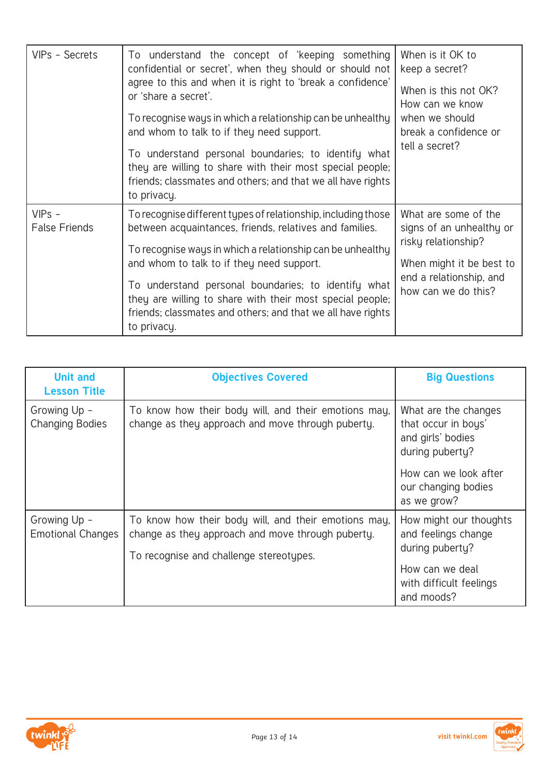| VIPs - Secrets                   | To understand the concept of 'keeping something<br>confidential or secret', when they should or should not<br>agree to this and when it is right to 'break a confidence'<br>or 'share a secret'.<br>To recognise ways in which a relationship can be unhealthy<br>and whom to talk to if they need support.<br>To understand personal boundaries; to identify what<br>they are willing to share with their most special people;<br>friends; classmates and others; and that we all have rights<br>to privacy. | When is it OK to<br>keep a secret?<br>When is this not OK?<br>How can we know<br>when we should<br>break a confidence or<br>tell a secret?            |
|----------------------------------|---------------------------------------------------------------------------------------------------------------------------------------------------------------------------------------------------------------------------------------------------------------------------------------------------------------------------------------------------------------------------------------------------------------------------------------------------------------------------------------------------------------|-------------------------------------------------------------------------------------------------------------------------------------------------------|
| $VIPS -$<br><b>False Friends</b> | To recognise different types of relationship, including those<br>between acquaintances, friends, relatives and families.<br>To recognise ways in which a relationship can be unhealthy<br>and whom to talk to if they need support.<br>To understand personal boundaries; to identify what<br>they are willing to share with their most special people;<br>friends; classmates and others; and that we all have rights<br>to privacy.                                                                         | What are some of the<br>signs of an unhealthy or<br>risky relationship?<br>When might it be best to<br>end a relationship, and<br>how can we do this? |

| <b>Unit and</b><br><b>Lesson Title</b>   | <b>Objectives Covered</b>                                                                                                                            | <b>Big Questions</b>                                                                |
|------------------------------------------|------------------------------------------------------------------------------------------------------------------------------------------------------|-------------------------------------------------------------------------------------|
| Growing Up -<br><b>Changing Bodies</b>   | To know how their body will, and their emotions may,<br>change as they approach and move through puberty.                                            | What are the changes<br>that occur in boys'<br>and girls' bodies<br>during puberty? |
|                                          |                                                                                                                                                      | How can we look after<br>our changing bodies<br>as we grow?                         |
| Growing Up -<br><b>Emotional Changes</b> | To know how their body will, and their emotions may,<br>change as they approach and move through puberty.<br>To recognise and challenge stereotypes. | How might our thoughts<br>and feelings change<br>during puberty?                    |
|                                          |                                                                                                                                                      | How can we deal<br>with difficult feelings<br>and moods?                            |